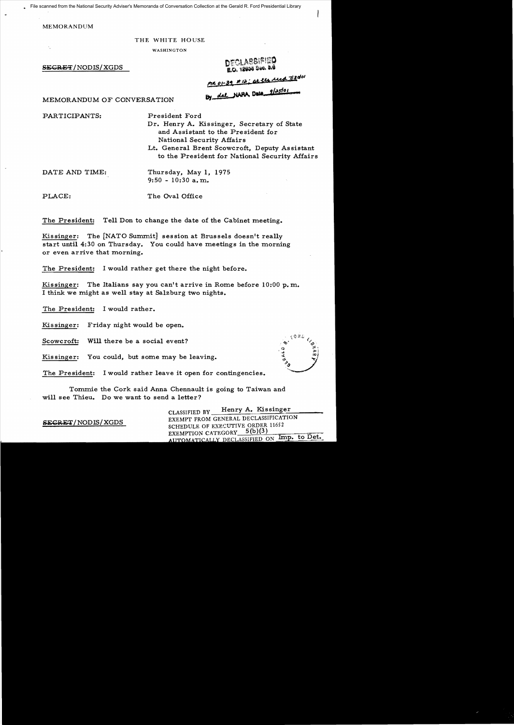File scanned from the National Security Adviser's Memoranda of Conversation Collection at the Gerald R. Ford Presidential Library

MEMORANDUM

## THE WHITE HOUSE

**WASHINGTON** 

SEGRET/NODIS/XGDS

DECLASSIFIED **E.O. 18800 Boo. 0.0** 

<u>me 01-39 #12; at the rece 7/3</u>dol

By dal NAPA, Date 9/25/01

MEMORANDUM OF CONVERSATION

PARTICIPANTS: President Ford

Dr. Henry A. Kissinger, Secretary of State and Assistant to the President for National Security Affairs

Lt. General Brent Scowcroft, Deputy Assistant to the President for National Security Affairs

DATE AND TIME: Thursday, May **1,**  1975 9:50 - 10:30 a. m.

PLACE: The Oval Office

The President: Tell Don to change the date of the Cabinet meeting.

Kissinger: The [NATO Summit] session at Brussels doesn't really start until 4:30 on Thursday. You could have meetings in the morning or even arrive that morning.

The President: I would rather get there the night before.

Kissinger: The Italians say you can't arrive in Rome before  $10:00$  p.m. I think we might as well stay at Salzburg two nights.

The President: I would rather.

Kissinger: Friday night would be open.

Scowcroft: Will there be a social event?

Kissinger: You could, but some may be leaving.

The President: I would rather leave it open for contingencies.

Tommie the Cork said Anna Chennault is going to Taiwan and will see Thieu. Do we want to send a letter?

CLASSIFIED BY Henry A. Kissinger<br>EXEMPT FROM GENERAL DECLASSIFICATION **SECRET/ NOD IS/ XGDS** EXEMPT FROM GENERAL DECLARED SCHEDULE OF EXECUTIVE ORDER 11652 EXEMPTION CATEGORY 5(b)(3)<br>AUTOMATICALLY DECLASSIFIED ON Imp. to Det.

**CONTROL**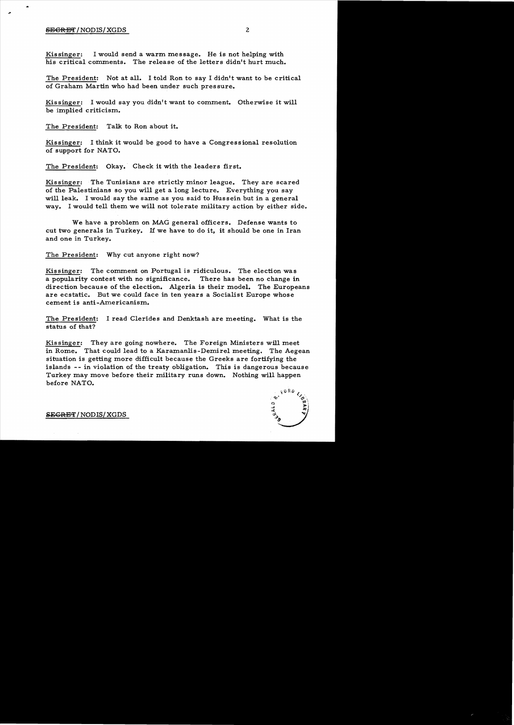## SEGRET/NODIS/XGDS 2

Kissinger: I would send a warm message. He is not helping with his critical comments. The release of the letters didn't hurt much.

The President: Not at all. I told Ron to say I didn't want to be critical of Graham Martin who had been under such pressure.

Kissinger: I would say you didn't want to comment. Otherwise it will be implied criticism.

The President: Talk to Ron about it.

Kissinger: I think it would be good to have a Congressional resolution of support for NATO.

The President: Okay. Check it with the leaders first.

Kissinger: The Tunisians are strictly minor league. They are scared of the Palestinians so you will get a long lecture. Everything you say will leak. I would say the same as you said to Hussein but in a general way. I would tell them we will not tolerate military action by either side.

We have a problem on MAG general officers. Defense wants to cut two generals in Turkey. If we have to do it, it should be one in Iran and one in Turkey.

The President: Why cut anyone right now?

Kissinger: The comment on Portugal is ridiculous. The election was a popularity contest with no significance. There has been no change in direction because of the election. Algeria is their model. The Europeans are ecstatic. But we could face in ten years a Socialist Europe whose cement is anti-Americanism.

The President: I read Clerides and Denktash are meeting. What is the status of that?

Kissinger: They are going nowhere. The Foreign Ministers will meet in Rome. That could lead to a Karamanlis-Demirel meeting. The Aegean situation is getting more difficult because the Greeks are fortifying the islands - - in violation of the treaty obligation. This is dangerous because Turkey may move before their military runs down. Nothing will happen before NATO.

 $80R$  $\ddot{\mathbf{r}}$  $\ddot{\circ}$ 

**SEGRET/NODIS/XGDS**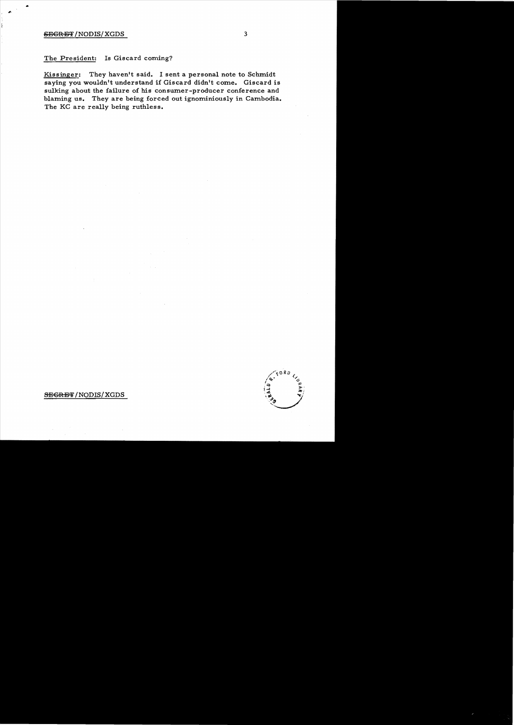## SEGRET/NODIS/XGDS 3

..

The President: Is Giscard coming?

Kissinger: They haven't said. I sent a personal note to Schmidt saying you wouldn't understand if Giscard didn't come. Giscard is sulking about the failure of his consumer-producer conference and blaming us. They are being forced out ignominiously in Cambodia. The KC are really being ruthless.



SEGRET/NODIS/XGDS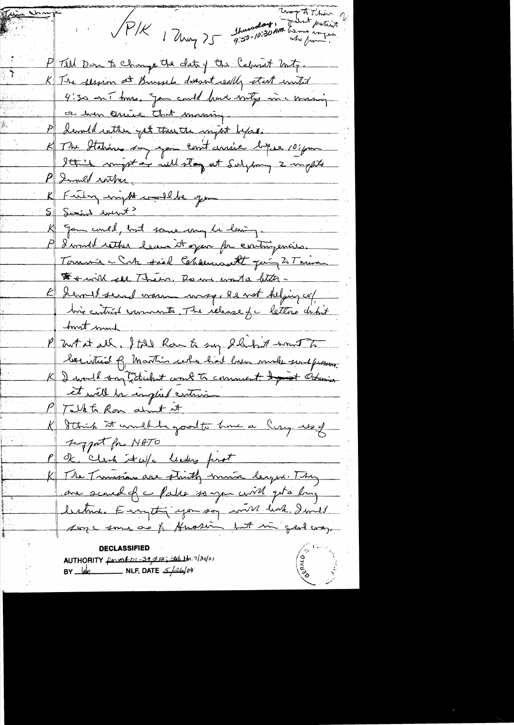thursday, Though Think PIK 1 Ump 75 P Tell Don to Change the date of the Calment Unity. K The session at Buysels doesn't really start wonted 4:30 on mus, Jan could fame mily in a masing ce hom chine that maning. devented within get these the might before. K The Station to you containe by 10 pm Ithick comptain will stay at Subspace 2 mpts P Innel with K Funding impted comedable jour 5 Serial event? K gam could, but some my be leaving. I would retter leave it open for contingencies. Tornwe - Cute said Chances It Jeing 2 Tours For will see Them. Be we wont a little -E Lemmet send crain wasp, Re not helping up, his critical varments. The release for letters debut host much P Zwtat all. I told Row to say I hand won't to becintured of Martin who had love made sendpressive. K I would say technol work to comment to theming et will be emplied contrain Talkto Ron about it K Sthich It would be good to have a Cury us of sypat for NATO P ok, clich it w/c leading first K The Trunsiens are struth moise legue. They are served of a Palae so you will get a long between Europtin you say will link. I will Asyc some or of Anosing but in gent way. AUTHORITY permedit 39 #12; State 1tr. 7/30/01 BY  $\frac{1}{4}$  NLF, DATE  $\frac{2}{4}$